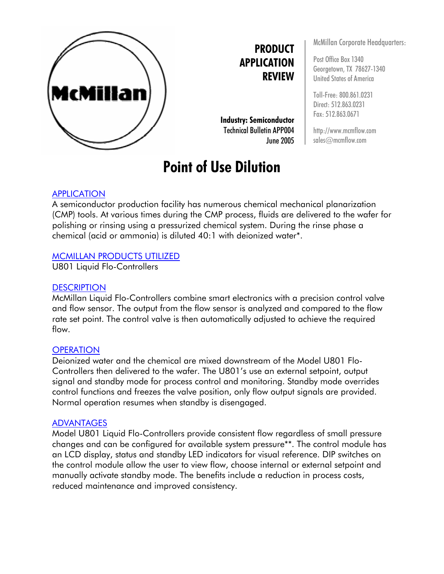

**PRODUCT APPLICATION REVIEW**

**Industry: Semiconductor** Technical Bulletin APP004 June 2005

# **Point of Use Dilution**

McMillan Corporate Headquarters:

Post Office Box 1340 Georgetown, TX 78627-1340 United States of America

Toll-Free: 800.861.0231 Direct: 512.863.0231 Fax: 512.863.0671

http://www.mcmflow.com sales@mcmflow.com

### **APPLICATION**

A semiconductor production facility has numerous chemical mechanical planarization (CMP) tools. At various times during the CMP process, fluids are delivered to the wafer for polishing or rinsing using a pressurized chemical system. During the rinse phase a chemical (acid or ammonia) is diluted 40:1 with deionized water\*.

#### MCMILLAN PRODUCTS UTILIZED

U801 Liquid Flo-Controllers

#### **DESCRIPTION**

McMillan Liquid Flo-Controllers combine smart electronics with a precision control valve and flow sensor. The output from the flow sensor is analyzed and compared to the flow rate set point. The control valve is then automatically adjusted to achieve the required flow.

#### **OPERATION**

Deionized water and the chemical are mixed downstream of the Model U801 Flo-Controllers then delivered to the wafer. The U801's use an external setpoint, output signal and standby mode for process control and monitoring. Standby mode overrides control functions and freezes the valve position, only flow output signals are provided. Normal operation resumes when standby is disengaged.

#### ADVANTAGES

Model U801 Liquid Flo-Controllers provide consistent flow regardless of small pressure changes and can be configured for available system pressure\*\*. The control module has an LCD display, status and standby LED indicators for visual reference. DIP switches on the control module allow the user to view flow, choose internal or external setpoint and manually activate standby mode. The benefits include a reduction in process costs, reduced maintenance and improved consistency.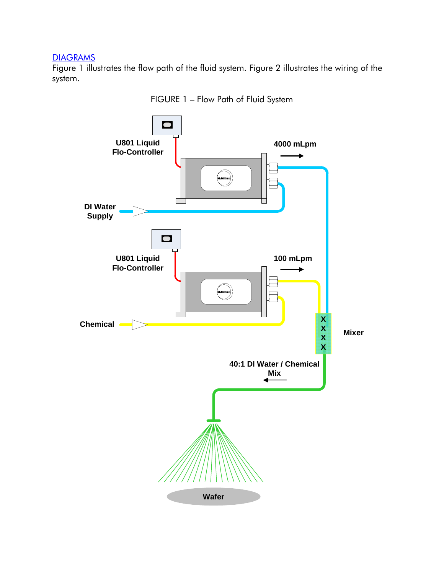## **DIAGRAMS**

Figure 1 illustrates the flow path of the fluid system. Figure 2 illustrates the wiring of the system.



FIGURE 1 – Flow Path of Fluid System